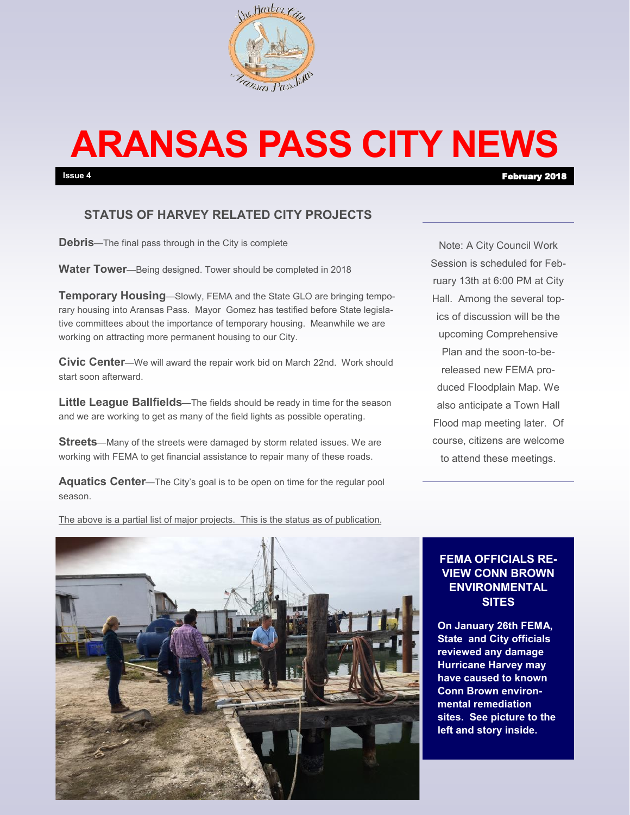

# **ARANSAS PASS CITY NEWS**

# **STATUS OF HARVEY RELATED CITY PROJECTS**

**Debris**—The final pass through in the City is complete

**Water Tower**—Being designed. Tower should be completed in 2018

**Temporary Housing—Slowly, FEMA and the State GLO are bringing tempo**rary housing into Aransas Pass. Mayor Gomez has testified before State legislative committees about the importance of temporary housing. Meanwhile we are working on attracting more permanent housing to our City.

**Civic Center**—We will award the repair work bid on March 22nd. Work should start soon afterward.

**Little League Ballfields**—The fields should be ready in time for the season and we are working to get as many of the field lights as possible operating.

**Streets**—Many of the streets were damaged by storm related issues. We are working with FEMA to get financial assistance to repair many of these roads.

**Aquatics Center**—The City's goal is to be open on time for the regular pool season.

Note: A City Council Work Session is scheduled for February 13th at 6:00 PM at City Hall. Among the several topics of discussion will be the upcoming Comprehensive Plan and the soon-to-bereleased new FEMA produced Floodplain Map. We also anticipate a Town Hall Flood map meeting later. Of course, citizens are welcome to attend these meetings.

The above is a partial list of major projects. This is the status as of publication.



#### **FEMA OFFICIALS RE-VIEW CONN BROWN ENVIRONMENTAL SITES**

**On January 26th FEMA, State and City officials reviewed any damage Hurricane Harvey may have caused to known Conn Brown environmental remediation sites. See picture to the left and story inside.**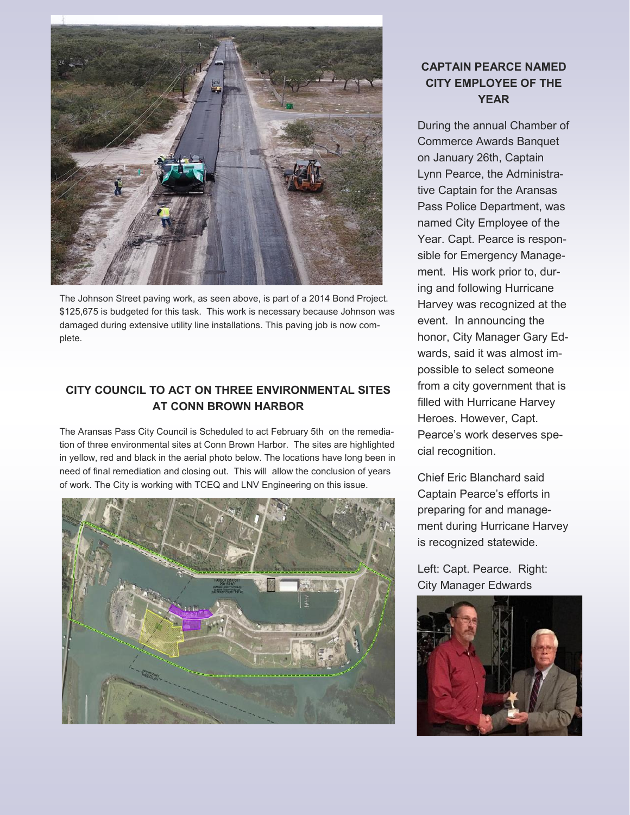

The Johnson Street paving work, as seen above, is part of a 2014 Bond Project. \$125,675 is budgeted for this task. This work is necessary because Johnson was damaged during extensive utility line installations. This paving job is now complete.

## **CITY COUNCIL TO ACT ON THREE ENVIRONMENTAL SITES AT CONN BROWN HARBOR**

The Aransas Pass City Council is Scheduled to act February 5th on the remediation of three environmental sites at Conn Brown Harbor. The sites are highlighted in yellow, red and black in the aerial photo below. The locations have long been in need of final remediation and closing out. This will allow the conclusion of years of work. The City is working with TCEQ and LNV Engineering on this issue.



## **CAPTAIN PEARCE NAMED CITY EMPLOYEE OF THE YEAR**

During the annual Chamber of Commerce Awards Banquet on January 26th, Captain Lynn Pearce, the Administrative Captain for the Aransas Pass Police Department, was named City Employee of the Year. Capt. Pearce is responsible for Emergency Management. His work prior to, during and following Hurricane Harvey was recognized at the event. In announcing the honor, City Manager Gary Edwards, said it was almost impossible to select someone from a city government that is filled with Hurricane Harvey Heroes. However, Capt. Pearce's work deserves special recognition.

Chief Eric Blanchard said Captain Pearce's efforts in preparing for and management during Hurricane Harvey is recognized statewide.

Left: Capt. Pearce. Right: City Manager Edwards

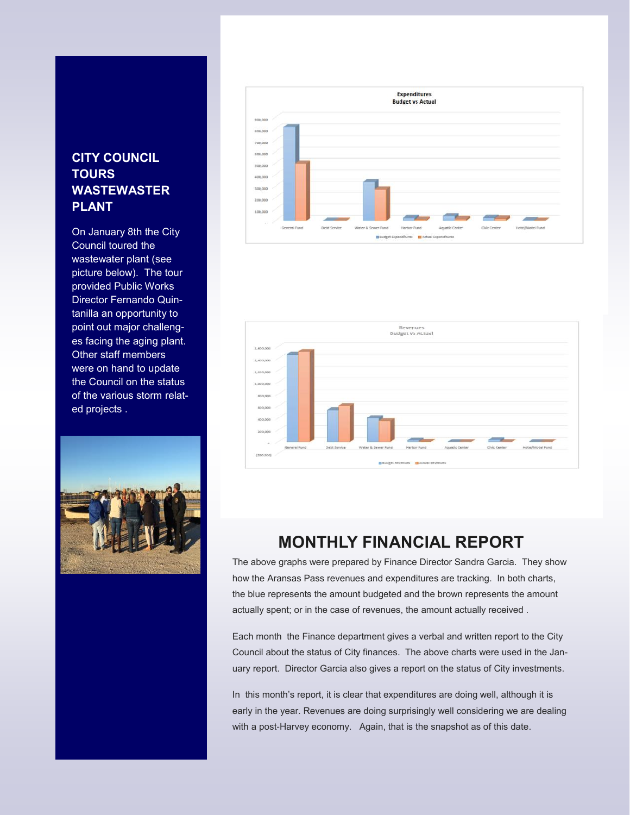# **CITY COUNCIL TOURS WASTEWASTER PLANT**

On January 8th the City Council toured the wastewater plant (see picture below). The tour provided Public Works Director Fernando Quintanilla an opportunity to point out major challenges facing the aging plant. Other staff members were on hand to update the Council on the status of the various storm related projects .







# **MONTHLY FINANCIAL REPORT**

The above graphs were prepared by Finance Director Sandra Garcia. They show how the Aransas Pass revenues and expenditures are tracking. In both charts, the blue represents the amount budgeted and the brown represents the amount actually spent; or in the case of revenues, the amount actually received .

Each month the Finance department gives a verbal and written report to the City Council about the status of City finances. The above charts were used in the January report. Director Garcia also gives a report on the status of City investments.

In this month's report, it is clear that expenditures are doing well, although it is early in the year. Revenues are doing surprisingly well considering we are dealing with a post-Harvey economy. Again, that is the snapshot as of this date.